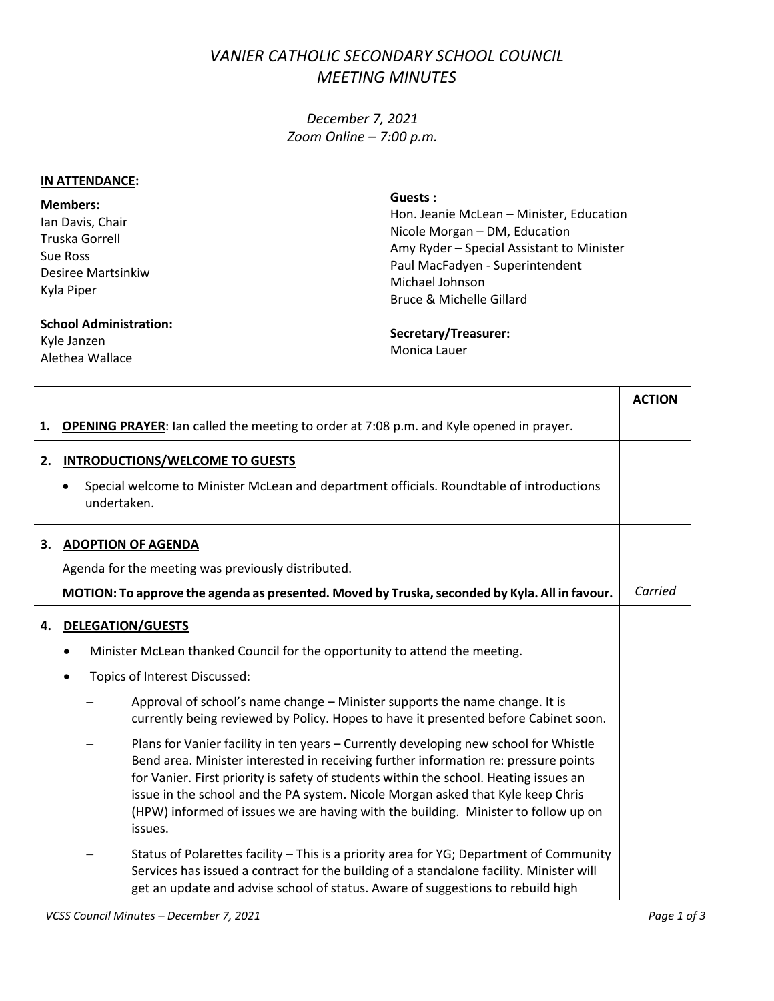## *VANIER CATHOLIC SECONDARY SCHOOL COUNCIL MEETING MINUTES*

*December 7, 2021 Zoom Online – 7:00 p.m.*

## **IN ATTENDANCE:**

**Members:** Ian Davis, Chair Truska Gorrell Sue Ross Desiree Martsinkiw Kyla Piper

**Guests :**

Hon. Jeanie McLean – Minister, Education Nicole Morgan – DM, Education Amy Ryder – Special Assistant to Minister Paul MacFadyen - Superintendent Michael Johnson Bruce & Michelle Gillard

## **School Administration:**

Kyle Janzen Alethea Wallace

## **Secretary/Treasurer:** Monica Lauer

|    |                                                                                                                                                                                                                                                                                                                                                                                                                                                          | <b>ACTION</b> |
|----|----------------------------------------------------------------------------------------------------------------------------------------------------------------------------------------------------------------------------------------------------------------------------------------------------------------------------------------------------------------------------------------------------------------------------------------------------------|---------------|
| 1. | <b>OPENING PRAYER:</b> Ian called the meeting to order at 7:08 p.m. and Kyle opened in prayer.                                                                                                                                                                                                                                                                                                                                                           |               |
| 2. | <b>INTRODUCTIONS/WELCOME TO GUESTS</b>                                                                                                                                                                                                                                                                                                                                                                                                                   |               |
|    | Special welcome to Minister McLean and department officials. Roundtable of introductions<br>$\bullet$<br>undertaken.                                                                                                                                                                                                                                                                                                                                     |               |
| 3. | <b>ADOPTION OF AGENDA</b>                                                                                                                                                                                                                                                                                                                                                                                                                                |               |
|    | Agenda for the meeting was previously distributed.                                                                                                                                                                                                                                                                                                                                                                                                       |               |
|    | MOTION: To approve the agenda as presented. Moved by Truska, seconded by Kyla. All in favour.                                                                                                                                                                                                                                                                                                                                                            | Carried       |
| 4. | <b>DELEGATION/GUESTS</b>                                                                                                                                                                                                                                                                                                                                                                                                                                 |               |
|    | Minister McLean thanked Council for the opportunity to attend the meeting.                                                                                                                                                                                                                                                                                                                                                                               |               |
|    | Topics of Interest Discussed:<br>$\bullet$                                                                                                                                                                                                                                                                                                                                                                                                               |               |
|    | Approval of school's name change - Minister supports the name change. It is<br>currently being reviewed by Policy. Hopes to have it presented before Cabinet soon.                                                                                                                                                                                                                                                                                       |               |
|    | Plans for Vanier facility in ten years - Currently developing new school for Whistle<br>Bend area. Minister interested in receiving further information re: pressure points<br>for Vanier. First priority is safety of students within the school. Heating issues an<br>issue in the school and the PA system. Nicole Morgan asked that Kyle keep Chris<br>(HPW) informed of issues we are having with the building. Minister to follow up on<br>issues. |               |
|    | Status of Polarettes facility - This is a priority area for YG; Department of Community<br>Services has issued a contract for the building of a standalone facility. Minister will<br>get an update and advise school of status. Aware of suggestions to rebuild high                                                                                                                                                                                    |               |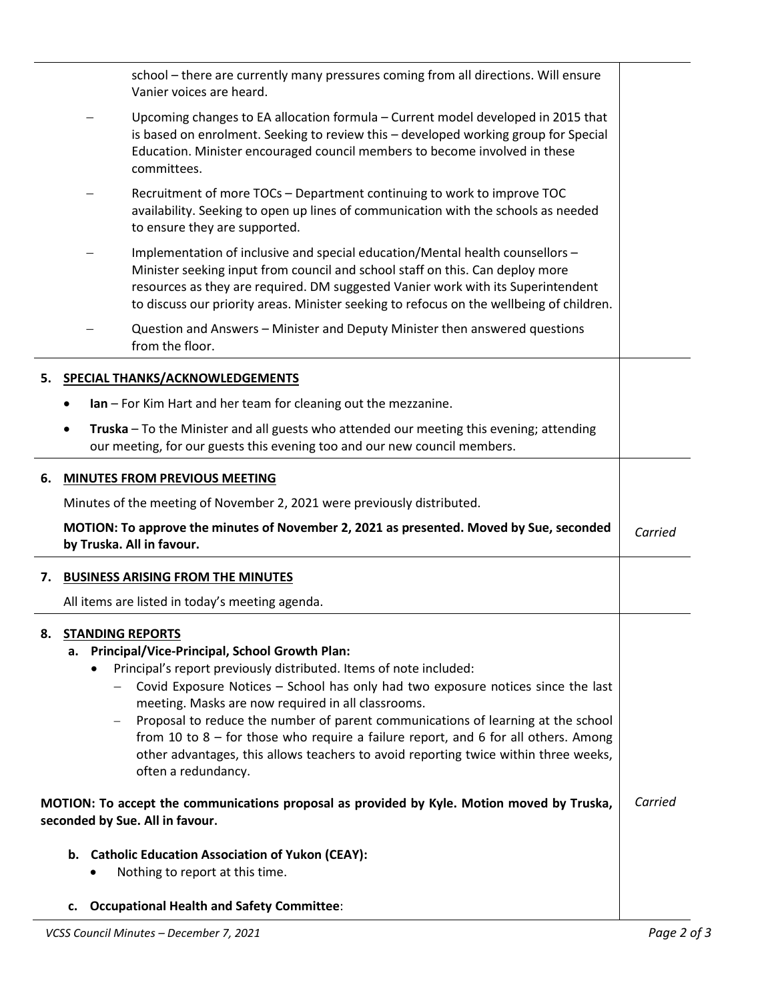|                                 |    | school - there are currently many pressures coming from all directions. Will ensure<br>Vanier voices are heard.                                                                                                                                                                                                                                                                                                                                                                                                                                                                       |         |  |
|---------------------------------|----|---------------------------------------------------------------------------------------------------------------------------------------------------------------------------------------------------------------------------------------------------------------------------------------------------------------------------------------------------------------------------------------------------------------------------------------------------------------------------------------------------------------------------------------------------------------------------------------|---------|--|
|                                 |    | Upcoming changes to EA allocation formula - Current model developed in 2015 that<br>is based on enrolment. Seeking to review this - developed working group for Special<br>Education. Minister encouraged council members to become involved in these<br>committees.                                                                                                                                                                                                                                                                                                                  |         |  |
|                                 |    | Recruitment of more TOCs - Department continuing to work to improve TOC<br>availability. Seeking to open up lines of communication with the schools as needed<br>to ensure they are supported.                                                                                                                                                                                                                                                                                                                                                                                        |         |  |
|                                 |    | Implementation of inclusive and special education/Mental health counsellors -<br>Minister seeking input from council and school staff on this. Can deploy more<br>resources as they are required. DM suggested Vanier work with its Superintendent<br>to discuss our priority areas. Minister seeking to refocus on the wellbeing of children.                                                                                                                                                                                                                                        |         |  |
|                                 |    | Question and Answers - Minister and Deputy Minister then answered questions<br>from the floor.                                                                                                                                                                                                                                                                                                                                                                                                                                                                                        |         |  |
| 5.                              |    | <b>SPECIAL THANKS/ACKNOWLEDGEMENTS</b>                                                                                                                                                                                                                                                                                                                                                                                                                                                                                                                                                |         |  |
|                                 |    | Ian - For Kim Hart and her team for cleaning out the mezzanine.                                                                                                                                                                                                                                                                                                                                                                                                                                                                                                                       |         |  |
|                                 |    | Truska - To the Minister and all guests who attended our meeting this evening; attending<br>our meeting, for our guests this evening too and our new council members.                                                                                                                                                                                                                                                                                                                                                                                                                 |         |  |
| 6.                              |    | <b>MINUTES FROM PREVIOUS MEETING</b>                                                                                                                                                                                                                                                                                                                                                                                                                                                                                                                                                  |         |  |
|                                 |    | Minutes of the meeting of November 2, 2021 were previously distributed.                                                                                                                                                                                                                                                                                                                                                                                                                                                                                                               |         |  |
|                                 |    | MOTION: To approve the minutes of November 2, 2021 as presented. Moved by Sue, seconded<br>by Truska. All in favour.                                                                                                                                                                                                                                                                                                                                                                                                                                                                  | Carried |  |
| 7.                              |    | <b>BUSINESS ARISING FROM THE MINUTES</b>                                                                                                                                                                                                                                                                                                                                                                                                                                                                                                                                              |         |  |
|                                 |    | All items are listed in today's meeting agenda.                                                                                                                                                                                                                                                                                                                                                                                                                                                                                                                                       |         |  |
| 8.                              |    | <b>STANDING REPORTS</b><br>a. Principal/Vice-Principal, School Growth Plan:<br>Principal's report previously distributed. Items of note included:<br>Covid Exposure Notices - School has only had two exposure notices since the last<br>meeting. Masks are now required in all classrooms.<br>Proposal to reduce the number of parent communications of learning at the school<br>from 10 to $8$ – for those who require a failure report, and 6 for all others. Among<br>other advantages, this allows teachers to avoid reporting twice within three weeks,<br>often a redundancy. |         |  |
|                                 |    | MOTION: To accept the communications proposal as provided by Kyle. Motion moved by Truska,                                                                                                                                                                                                                                                                                                                                                                                                                                                                                            | Carried |  |
| seconded by Sue. All in favour. |    |                                                                                                                                                                                                                                                                                                                                                                                                                                                                                                                                                                                       |         |  |
|                                 |    | b. Catholic Education Association of Yukon (CEAY):<br>Nothing to report at this time.                                                                                                                                                                                                                                                                                                                                                                                                                                                                                                 |         |  |
|                                 | c. | <b>Occupational Health and Safety Committee:</b>                                                                                                                                                                                                                                                                                                                                                                                                                                                                                                                                      |         |  |

÷.